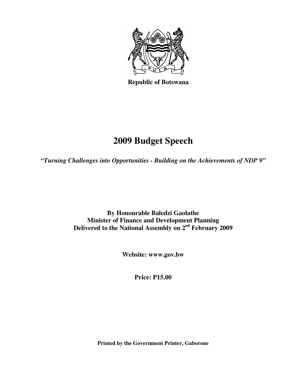

 **Republic of Botswana** 

# **2009 Budget Speech**

*"Turning Challenges into Opportunities - Building on the Achievements of NDP 9"* 

**By Honourable Baledzi Gaolathe Minister of Finance and Development Planning Delivered to the National Assembly on 2nd February 2009** 

**Website: www.gov.bw** 

**Price: P15.00** 

**Printed by the Government Printer, Gaborone**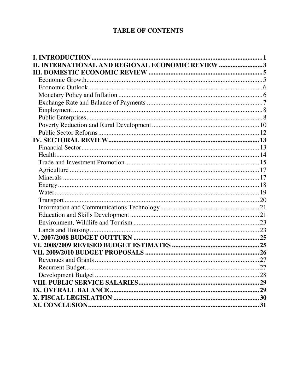# **TABLE OF CONTENTS**

| <b>INTERNATIONAL AND REGIONAL ECONOMIC REVIEW 3</b> |  |
|-----------------------------------------------------|--|
|                                                     |  |
|                                                     |  |
|                                                     |  |
|                                                     |  |
|                                                     |  |
|                                                     |  |
|                                                     |  |
|                                                     |  |
|                                                     |  |
|                                                     |  |
|                                                     |  |
|                                                     |  |
|                                                     |  |
|                                                     |  |
|                                                     |  |
|                                                     |  |
|                                                     |  |
|                                                     |  |
|                                                     |  |
|                                                     |  |
|                                                     |  |
|                                                     |  |
|                                                     |  |
|                                                     |  |
|                                                     |  |
|                                                     |  |
|                                                     |  |
|                                                     |  |
|                                                     |  |
|                                                     |  |
|                                                     |  |
|                                                     |  |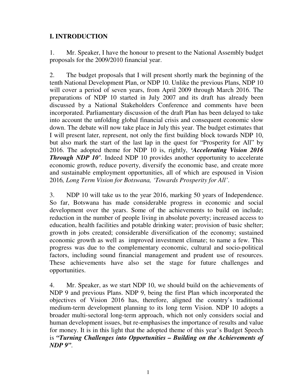# **I. INTRODUCTION**

1. Mr. Speaker, I have the honour to present to the National Assembly budget proposals for the 2009/2010 financial year.

2. The budget proposals that I will present shortly mark the beginning of the tenth National Development Plan, or NDP 10. Unlike the previous Plans, NDP 10 will cover a period of seven years, from April 2009 through March 2016. The preparations of NDP 10 started in July 2007 and its draft has already been discussed by a National Stakeholders Conference and comments have been incorporated. Parliamentary discussion of the draft Plan has been delayed to take into account the unfolding global financial crisis and consequent economic slow down. The debate will now take place in July this year. The budget estimates that I will present later, represent, not only the first building block towards NDP 10, but also mark the start of the last lap in the quest for "Prosperity for All" by 2016. The adopted theme for NDP 10 is, rightly, *'Accelerating Vision 2016 Through NDP 10'*. Indeed NDP 10 provides another opportunity to accelerate economic growth, reduce poverty, diversify the economic base, and create more and sustainable employment opportunities, all of which are espoused in Vision 2016*, Long Term Vision for Botswana, 'Towards Prosperity for All'*.

3. NDP 10 will take us to the year 2016, marking 50 years of Independence. So far, Botswana has made considerable progress in economic and social development over the years. Some of the achievements to build on include; reduction in the number of people living in absolute poverty; increased access to education, health facilities and potable drinking water; provision of basic shelter; growth in jobs created; considerable diversification of the economy; sustained economic growth as well as improved investment climate; to name a few. This progress was due to the complementary economic, cultural and socio-political factors, including sound financial management and prudent use of resources. These achievements have also set the stage for future challenges and opportunities.

4. Mr. Speaker, as we start NDP 10, we should build on the achievements of NDP 9 and previous Plans. NDP 9, being the first Plan which incorporated the objectives of Vision 2016 has, therefore, aligned the country's traditional medium-term development planning to its long term Vision. NDP 10 adopts a broader multi-sectoral long-term approach, which not only considers social and human development issues, but re-emphasises the importance of results and value for money. It is in this light that the adopted theme of this year's Budget Speech is *"Turning Challenges into Opportunities – Building on the Achievements of NDP 9"*.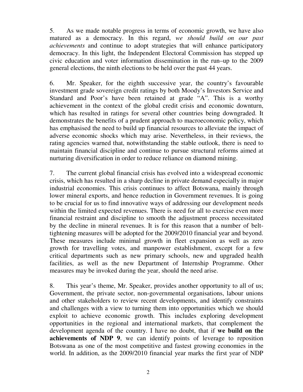5. As we made notable progress in terms of economic growth, we have also matured as a democracy. In this regard, *we should build on our past achievements* and continue to adopt strategies that will enhance participatory democracy. In this light, the Independent Electoral Commission has stepped up civic education and voter information dissemination in the run–up to the 2009 general elections, the ninth elections to be held over the past 44 years.

6. Mr. Speaker, for the eighth successive year, the country's favourable investment grade sovereign credit ratings by both Moody's Investors Service and Standard and Poor's have been retained at grade "A". This is a worthy achievement in the context of the global credit crisis and economic downturn, which has resulted in ratings for several other countries being downgraded. It demonstrates the benefits of a prudent approach to macroeconomic policy, which has emphasised the need to build up financial resources to alleviate the impact of adverse economic shocks which may arise. Nevertheless, in their reviews, the rating agencies warned that, notwithstanding the stable outlook, there is need to maintain financial discipline and continue to pursue structural reforms aimed at nurturing diversification in order to reduce reliance on diamond mining.

7. The current global financial crisis has evolved into a widespread economic crisis, which has resulted in a sharp decline in private demand especially in major industrial economies. This crisis continues to affect Botswana, mainly through lower mineral exports, and hence reduction in Government revenues. It is going to be crucial for us to find innovative ways of addressing our development needs within the limited expected revenues. There is need for all to exercise even more financial restraint and discipline to smooth the adjustment process necessitated by the decline in mineral revenues. It is for this reason that a number of belttightening measures will be adopted for the 2009/2010 financial year and beyond. These measures include minimal growth in fleet expansion as well as zero growth for travelling votes, and manpower establishment, except for a few critical departments such as new primary schools, new and upgraded health facilities, as well as the new Department of Internship Programme. Other measures may be invoked during the year, should the need arise.

8. This year's theme, Mr. Speaker, provides another opportunity to all of us; Government, the private sector, non-governmental organisations, labour unions and other stakeholders to review recent developments, and identify constraints and challenges with a view to turning them into opportunities which we should exploit to achieve economic growth. This includes exploring development opportunities in the regional and international markets, that complement the development agenda of the country. I have no doubt, that if **we build on the achievements of NDP 9**, we can identify points of leverage to reposition Botswana as one of the most competitive and fastest growing economies in the world. In addition, as the 2009/2010 financial year marks the first year of NDP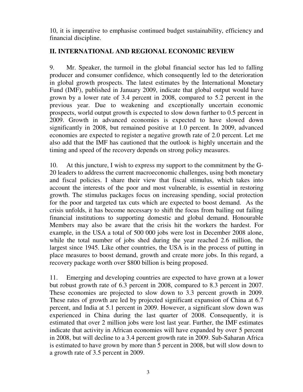10, it is imperative to emphasise continued budget sustainability, efficiency and financial discipline.

# **II. INTERNATIONAL AND REGIONAL ECONOMIC REVIEW**

9. Mr. Speaker, the turmoil in the global financial sector has led to falling producer and consumer confidence, which consequently led to the deterioration in global growth prospects. The latest estimates by the International Monetary Fund (IMF), published in January 2009, indicate that global output would have grown by a lower rate of 3.4 percent in 2008, compared to 5.2 percent in the previous year. Due to weakening and exceptionally uncertain economic prospects, world output growth is expected to slow down further to 0.5 percent in 2009. Growth in advanced economies is expected to have slowed down significantly in 2008, but remained positive at 1.0 percent. In 2009, advanced economies are expected to register a negative growth rate of 2.0 percent. Let me also add that the IMF has cautioned that the outlook is highly uncertain and the timing and speed of the recovery depends on strong policy measures.

10. At this juncture, I wish to express my support to the commitment by the G-20 leaders to address the current macroeconomic challenges, using both monetary and fiscal policies. I share their view that fiscal stimulus, which takes into account the interests of the poor and most vulnerable, is essential in restoring growth. The stimulus packages focus on increasing spending, social protection for the poor and targeted tax cuts which are expected to boost demand. As the crisis unfolds, it has become necessary to shift the focus from bailing out failing financial institutions to supporting domestic and global demand. Honourable Members may also be aware that the crisis hit the workers the hardest. For example, in the USA a total of 500 000 jobs were lost in December 2008 alone, while the total number of jobs shed during the year reached 2.6 million, the largest since 1945. Like other countries, the USA is in the process of putting in place measures to boost demand, growth and create more jobs. In this regard, a recovery package worth over \$800 billion is being proposed.

11. Emerging and developing countries are expected to have grown at a lower but robust growth rate of 6.3 percent in 2008, compared to 8.3 percent in 2007. These economies are projected to slow down to 3.3 percent growth in 2009. These rates of growth are led by projected significant expansion of China at 6.7 percent, and India at 5.1 percent in 2009. However, a significant slow down was experienced in China during the last quarter of 2008. Consequently, it is estimated that over 2 million jobs were lost last year. Further, the IMF estimates indicate that activity in African economies will have expanded by over 5 percent in 2008, but will decline to a 3.4 percent growth rate in 2009. Sub-Saharan Africa is estimated to have grown by more than 5 percent in 2008, but will slow down to a growth rate of 3.5 percent in 2009.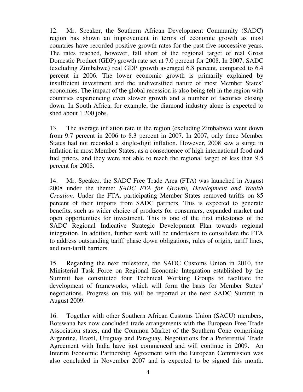12. Mr. Speaker, the Southern African Development Community (SADC) region has shown an improvement in terms of economic growth as most countries have recorded positive growth rates for the past five successive years. The rates reached, however, fall short of the regional target of real Gross Domestic Product (GDP) growth rate set at 7.0 percent for 2008. In 2007, SADC (excluding Zimbabwe) real GDP growth averaged 6.8 percent, compared to 6.4 percent in 2006. The lower economic growth is primarily explained by insufficient investment and the undiversified nature of most Member States' economies. The impact of the global recession is also being felt in the region with countries experiencing even slower growth and a number of factories closing down. In South Africa, for example, the diamond industry alone is expected to shed about 1 200 jobs.

13. The average inflation rate in the region (excluding Zimbabwe) went down from 9.7 percent in 2006 to 8.3 percent in 2007. In 2007, only three Member States had not recorded a single-digit inflation. However, 2008 saw a surge in inflation in most Member States, as a consequence of high international food and fuel prices, and they were not able to reach the regional target of less than 9.5 percent for 2008.

14. Mr. Speaker, the SADC Free Trade Area (FTA) was launched in August 2008 under the theme: *SADC FTA for Growth, Development and Wealth Creation*. Under the FTA, participating Member States removed tariffs on 85 percent of their imports from SADC partners. This is expected to generate benefits, such as wider choice of products for consumers, expanded market and open opportunities for investment. This is one of the first milestones of the SADC Regional Indicative Strategic Development Plan towards regional integration. In addition, further work will be undertaken to consolidate the FTA to address outstanding tariff phase down obligations, rules of origin, tariff lines, and non-tariff barriers.

15. Regarding the next milestone, the SADC Customs Union in 2010, the Ministerial Task Force on Regional Economic Integration established by the Summit has constituted four Technical Working Groups to facilitate the development of frameworks, which will form the basis for Member States' negotiations. Progress on this will be reported at the next SADC Summit in August 2009.

16. Together with other Southern African Customs Union (SACU) members, Botswana has now concluded trade arrangements with the European Free Trade Association states, and the Common Market of the Southern Cone comprising Argentina, Brazil, Uruguay and Paraguay. Negotiations for a Preferential Trade Agreement with India have just commenced and will continue in 2009. An Interim Economic Partnership Agreement with the European Commission was also concluded in November 2007 and is expected to be signed this month.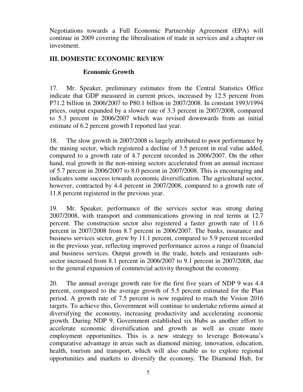Negotiations towards a Full Economic Partnership Agreement (EPA) will continue in 2009 covering the liberalisation of trade in services and a chapter on investment.

# **III. DOMESTIC ECONOMIC REVIEW**

## **Economic Growth**

17. Mr. Speaker, preliminary estimates from the Central Statistics Office indicate that GDP measured in current prices, increased by 12.5 percent from P71.2 billion in 2006/2007 to P80.1 billion in 2007/2008. In constant 1993/1994 prices, output expanded by a slower rate of 3.3 percent in 2007/2008, compared to 5.3 percent in 2006/2007 which was revised downwards from an initial estimate of 6.2 percent growth I reported last year.

18. The slow growth in 2007/2008 is largely attributed to poor performance by the mining sector, which registered a decline of 3.5 percent in real value added, compared to a growth rate of 4.7 percent recorded in 2006/2007. On the other hand, real growth in the non-mining sectors accelerated from an annual increase of 5.7 percent in 2006/2007 to 8.0 percent in 2007/2008. This is encouraging and indicates some success towards economic diversification. The agricultural sector, however, contracted by 4.4 percent in 2007/2008, compared to a growth rate of 11.8 percent registered in the previous year.

19. Mr. Speaker, performance of the services sector was strong during 2007/2008, with transport and communications growing in real terms at 12.7 percent. The construction sector also registered a faster growth rate of 11.6 percent in 2007/2008 from 8.7 percent in 2006/2007. The banks, insurance and business services sector, grew by 11.1 percent, compared to 5.9 percent recorded in the previous year, reflecting improved performance across a range of financial and business services. Output growth in the trade, hotels and restaurants subsector increased from 8.1 percent in 2006/2007 to 9.1 percent in 2007/2008, due to the general expansion of commercial activity throughout the economy.

20. The annual average growth rate for the first five years of NDP 9 was 4.4 percent, compared to the average growth of 5.5 percent estimated for the Plan period. A growth rate of 7.5 percent is now required to reach the Vision 2016 targets. To achieve this, Government will continue to undertake reforms aimed at diversifying the economy, increasing productivity and accelerating economic growth. During NDP 9, Government established six Hubs as another effort to accelerate economic diversification and growth as well as create more employment opportunities. This is a new strategy to leverage Botswana's comparative advantage in areas such as diamond mining, innovation, education, health, tourism and transport, which will also enable us to explore regional opportunities and markets to diversify the economy. The Diamond Hub, for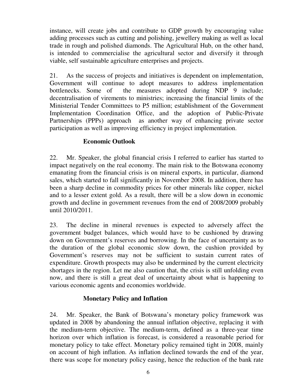instance, will create jobs and contribute to GDP growth by encouraging value adding processes such as cutting and polishing, jewellery making as well as local trade in rough and polished diamonds. The Agricultural Hub, on the other hand, is intended to commercialise the agricultural sector and diversify it through viable, self sustainable agriculture enterprises and projects.

21. As the success of projects and initiatives is dependent on implementation, Government will continue to adopt measures to address implementation bottlenecks. Some of the measures adopted during NDP 9 include; decentralisation of virements to ministries; increasing the financial limits of the Ministerial Tender Committees to P5 million; establishment of the Government Implementation Coordination Office, and the adoption of Public-Private Partnerships (PPPs) approach as another way of enhancing private sector participation as well as improving efficiency in project implementation.

#### **Economic Outlook**

22. Mr. Speaker, the global financial crisis I referred to earlier has started to impact negatively on the real economy. The main risk to the Botswana economy emanating from the financial crisis is on mineral exports, in particular, diamond sales, which started to fall significantly in November 2008. In addition, there has been a sharp decline in commodity prices for other minerals like copper, nickel and to a lesser extent gold. As a result, there will be a slow down in economic growth and decline in government revenues from the end of 2008/2009 probably until 2010/2011.

23. The decline in mineral revenues is expected to adversely affect the government budget balances, which would have to be cushioned by drawing down on Government's reserves and borrowing. In the face of uncertainty as to the duration of the global economic slow down, the cushion provided by Government's reserves may not be sufficient to sustain current rates of expenditure. Growth prospects may also be undermined by the current electricity shortages in the region. Let me also caution that, the crisis is still unfolding even now, and there is still a great deal of uncertainty about what is happening to various economic agents and economies worldwide.

#### **Monetary Policy and Inflation**

24. Mr. Speaker, the Bank of Botswana's monetary policy framework was updated in 2008 by abandoning the annual inflation objective, replacing it with the medium-term objective. The medium-term, defined as a three-year time horizon over which inflation is forecast, is considered a reasonable period for monetary policy to take effect. Monetary policy remained tight in 2008, mainly on account of high inflation. As inflation declined towards the end of the year, there was scope for monetary policy easing, hence the reduction of the bank rate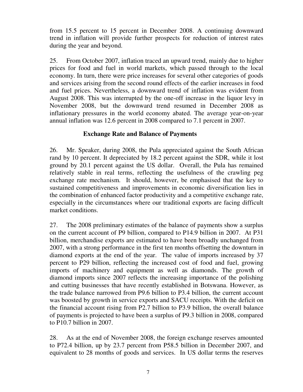from 15.5 percent to 15 percent in December 2008. A continuing downward trend in inflation will provide further prospects for reduction of interest rates during the year and beyond.

25. From October 2007, inflation traced an upward trend, mainly due to higher prices for food and fuel in world markets, which passed through to the local economy. In turn, there were price increases for several other categories of goods and services arising from the second round effects of the earlier increases in food and fuel prices. Nevertheless, a downward trend of inflation was evident from August 2008. This was interrupted by the one-off increase in the liquor levy in November 2008, but the downward trend resumed in December 2008 as inflationary pressures in the world economy abated. The average year-on-year annual inflation was 12.6 percent in 2008 compared to 7.1 percent in 2007.

#### **Exchange Rate and Balance of Payments**

26. Mr. Speaker, during 2008, the Pula appreciated against the South African rand by 10 percent. It depreciated by 18.2 percent against the SDR, while it lost ground by 20.1 percent against the US dollar. Overall, the Pula has remained relatively stable in real terms, reflecting the usefulness of the crawling peg exchange rate mechanism. It should, however, be emphasised that the key to sustained competitiveness and improvements in economic diversification lies in the combination of enhanced factor productivity and a competitive exchange rate, especially in the circumstances where our traditional exports are facing difficult market conditions.

27. The 2008 preliminary estimates of the balance of payments show a surplus on the current account of P9 billion, compared to P14.9 billion in 2007. At P31 billion, merchandise exports are estimated to have been broadly unchanged from 2007, with a strong performance in the first ten months offsetting the downturn in diamond exports at the end of the year. The value of imports increased by 37 percent to P29 billion, reflecting the increased cost of food and fuel, growing imports of machinery and equipment as well as diamonds. The growth of diamond imports since 2007 reflects the increasing importance of the polishing and cutting businesses that have recently established in Botswana. However, as the trade balance narrowed from P9.6 billion to P3.4 billion, the current account was boosted by growth in service exports and SACU receipts. With the deficit on the financial account rising from P2.7 billion to P3.9 billion, the overall balance of payments is projected to have been a surplus of P9.3 billion in 2008, compared to P10.7 billion in 2007.

28. As at the end of November 2008, the foreign exchange reserves amounted to P72.4 billion, up by 23.7 percent from P58.5 billion in December 2007, and equivalent to 28 months of goods and services. In US dollar terms the reserves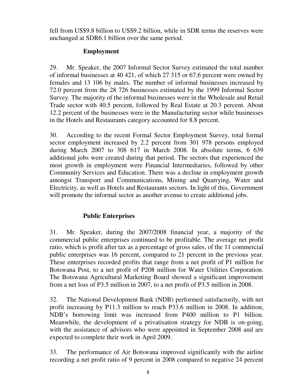fell from US\$9.8 billion to US\$9.2 billion, while in SDR terms the reserves were unchanged at SDR6.1 billion over the same period.

# **Employment**

29. Mr. Speaker, the 2007 Informal Sector Survey estimated the total number of informal businesses at 40 421, of which 27 315 or 67.6 percent were owned by females and 13 106 by males. The number of informal businesses increased by 72.0 percent from the 28 726 businesses estimated by the 1999 Informal Sector Survey. The majority of the informal businesses were in the Wholesale and Retail Trade sector with 40.5 percent, followed by Real Estate at 20.3 percent. About 12.2 percent of the businesses were in the Manufacturing sector while businesses in the Hotels and Restaurants category accounted for 8.8 percent.

30. According to the recent Formal Sector Employment Survey, total formal sector employment increased by 2.2 percent from 301 978 persons employed during March 2007 to 308 617 in March 2008. In absolute terms, 6 639 additional jobs were created during that period. The sectors that experienced the most growth in employment were Financial Intermediaries, followed by other Community Services and Education. There was a decline in employment growth amongst Transport and Communications, Mining and Quarrying, Water and Electricity, as well as Hotels and Restaurants sectors. In light of this, Government will promote the informal sector as another avenue to create additional jobs.

# **Public Enterprises**

31. Mr. Speaker, during the 2007/2008 financial year, a majority of the commercial public enterprises continued to be profitable. The average net profit ratio, which is profit after tax as a percentage of gross sales, of the 11 commercial public enterprises was 16 percent, compared to 21 percent in the previous year. These enterprises recorded profits that range from a net profit of P1 million for Botswana Post, to a net profit of P208 million for Water Utilities Corporation. The Botswana Agricultural Marketing Board showed a significant improvement from a net loss of P3.5 million in 2007, to a net profit of P3.5 million in 2008.

32. The National Development Bank (NDB) performed satisfactorily, with net profit increasing by P11.3 million to reach P33.6 million in 2008. In addition, NDB's borrowing limit was increased from P400 million to P1 billion. Meanwhile, the development of a privatisation strategy for NDB is on-going, with the assistance of advisors who were appointed in September 2008 and are expected to complete their work in April 2009.

33. The performance of Air Botswana improved significantly with the airline recording a net profit ratio of 9 percent in 2008 compared to negative 24 percent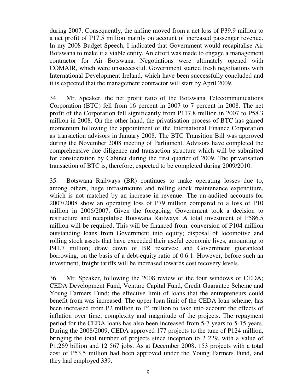during 2007. Consequently, the airline moved from a net loss of P39.9 million to a net profit of P17.5 million mainly on account of increased passenger revenue. In my 2008 Budget Speech, I indicated that Government would recapitalise Air Botswana to make it a viable entity. An effort was made to engage a management contractor for Air Botswana. Negotiations were ultimately opened with COMAIR, which were unsuccessful. Government started fresh negotiations with International Development Ireland, which have been successfully concluded and it is expected that the management contractor will start by April 2009.

34. Mr. Speaker, the net profit ratio of the Botswana Telecommunications Corporation (BTC) fell from 16 percent in 2007 to 7 percent in 2008. The net profit of the Corporation fell significantly from P117.8 million in 2007 to P58.3 million in 2008. On the other hand, the privatisation process of BTC has gained momentum following the appointment of the International Finance Corporation as transaction advisors in January 2008. The BTC Transition Bill was approved during the November 2008 meeting of Parliament. Advisors have completed the comprehensive due diligence and transaction structure which will be submitted for consideration by Cabinet during the first quarter of 2009. The privatisation transaction of BTC is, therefore, expected to be completed during 2009/2010.

35. Botswana Railways (BR) continues to make operating losses due to, among others, huge infrastructure and rolling stock maintenance expenditure, which is not matched by an increase in revenue. The un-audited accounts for 2007/2008 show an operating loss of P79 million compared to a loss of P10 million in 2006/2007. Given the foregoing, Government took a decision to restructure and recapitalise Botswana Railways. A total investment of P586.5 million will be required. This will be financed from: conversion of P104 million outstanding loans from Government into equity; disposal of locomotive and rolling stock assets that have exceeded their useful economic lives, amounting to P41.7 million; draw down of BR reserves; and Government guaranteed borrowing, on the basis of a debt-equity ratio of 0.6:1. However, before such an investment, freight tariffs will be increased towards cost recovery levels.

36. Mr. Speaker, following the 2008 review of the four windows of CEDA; CEDA Development Fund, Venture Capital Fund, Credit Guarantee Scheme and Young Farmers Fund; the effective limit of loans that the entrepreneurs could benefit from was increased. The upper loan limit of the CEDA loan scheme, has been increased from P2 million to P4 million to take into account the effects of inflation over time, complexity and magnitude of the projects. The repayment period for the CEDA loans has also been increased from 5-7 years to 5-15 years. During the 2008/2009, CEDA approved 177 projects to the tune of P124 million, bringing the total number of projects since inception to 2 229, with a value of P1.269 billion and 12 567 jobs. As at December 2008, 153 projects with a total cost of P53.5 million had been approved under the Young Farmers Fund, and they had employed 339.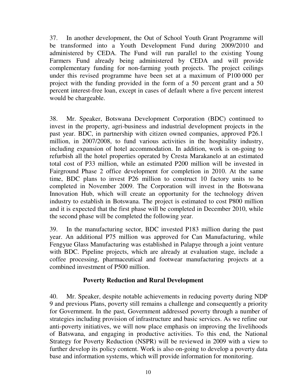37. In another development, the Out of School Youth Grant Programme will be transformed into a Youth Development Fund during 2009/2010 and administered by CEDA. The Fund will run parallel to the existing Young Farmers Fund already being administered by CEDA and will provide complementary funding for non-farming youth projects. The project ceilings under this revised programme have been set at a maximum of P100 000 per project with the funding provided in the form of a 50 percent grant and a 50 percent interest-free loan, except in cases of default where a five percent interest would be chargeable.

38. Mr. Speaker, Botswana Development Corporation (BDC) continued to invest in the property, agri-business and industrial development projects in the past year. BDC, in partnership with citizen owned companies, approved P26.1 million, in 2007/2008, to fund various activities in the hospitality industry, including expansion of hotel accommodation. In addition, work is on-going to refurbish all the hotel properties operated by Cresta Marakanelo at an estimated total cost of P33 million, while an estimated P200 million will be invested in Fairground Phase 2 office development for completion in 2010. At the same time, BDC plans to invest P26 million to construct 10 factory units to be completed in November 2009. The Corporation will invest in the Botswana Innovation Hub, which will create an opportunity for the technology driven industry to establish in Botswana. The project is estimated to cost P800 million and it is expected that the first phase will be completed in December 2010, while the second phase will be completed the following year.

39. In the manufacturing sector, BDC invested P183 million during the past year. An additional P75 million was approved for Can Manufacturing, while Fengyue Glass Manufacturing was established in Palapye through a joint venture with BDC. Pipeline projects, which are already at evaluation stage, include a coffee processing, pharmaceutical and footwear manufacturing projects at a combined investment of P500 million.

#### **Poverty Reduction and Rural Development**

40. Mr. Speaker, despite notable achievements in reducing poverty during NDP 9 and previous Plans, poverty still remains a challenge and consequently a priority for Government. In the past, Government addressed poverty through a number of strategies including provision of infrastructure and basic services. As we refine our anti-poverty initiatives, we will now place emphasis on improving the livelihoods of Batswana, and engaging in productive activities. To this end, the National Strategy for Poverty Reduction (NSPR) will be reviewed in 2009 with a view to further develop its policy content. Work is also on-going to develop a poverty data base and information systems, which will provide information for monitoring.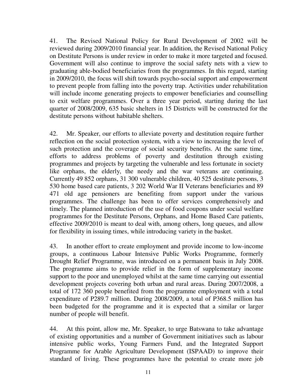41. The Revised National Policy for Rural Development of 2002 will be reviewed during 2009/2010 financial year. In addition, the Revised National Policy on Destitute Persons is under review in order to make it more targeted and focused. Government will also continue to improve the social safety nets with a view to graduating able-bodied beneficiaries from the programmes. In this regard, starting in 2009/2010, the focus will shift towards psycho-social support and empowerment to prevent people from falling into the poverty trap. Activities under rehabilitation will include income generating projects to empower beneficiaries and counselling to exit welfare programmes. Over a three year period, starting during the last quarter of 2008/2009, 635 basic shelters in 15 Districts will be constructed for the destitute persons without habitable shelters.

42. Mr. Speaker, our efforts to alleviate poverty and destitution require further reflection on the social protection system, with a view to increasing the level of such protection and the coverage of social security benefits. At the same time, efforts to address problems of poverty and destitution through existing programmes and projects by targeting the vulnerable and less fortunate in society like orphans, the elderly, the needy and the war veterans are continuing. Currently 49 852 orphans, 31 300 vulnerable children, 40 525 destitute persons, 3 530 home based care patients, 3 202 World War II Veterans beneficiaries and 89 471 old age pensioners are benefiting from support under the various programmes. The challenge has been to offer services comprehensively and timely. The planned introduction of the use of food coupons under social welfare programmes for the Destitute Persons, Orphans, and Home Based Care patients, effective 2009/2010 is meant to deal with, among others, long queues, and allow for flexibility in issuing times, while introducing variety in the basket.

43. In another effort to create employment and provide income to low-income groups, a continuous Labour Intensive Public Works Programme, formerly Drought Relief Programme, was introduced on a permanent basis in July 2008. The programme aims to provide relief in the form of supplementary income support to the poor and unemployed whilst at the same time carrying out essential development projects covering both urban and rural areas. During 2007/2008, a total of 172 360 people benefited from the programme employment with a total expenditure of P289.7 million. During 2008/2009, a total of P368.5 million has been budgeted for the programme and it is expected that a similar or larger number of people will benefit.

44. At this point, allow me, Mr. Speaker, to urge Batswana to take advantage of existing opportunities and a number of Government initiatives such as labour intensive public works, Young Farmers Fund, and the Integrated Support Programme for Arable Agriculture Development (ISPAAD) to improve their standard of living. These programmes have the potential to create more job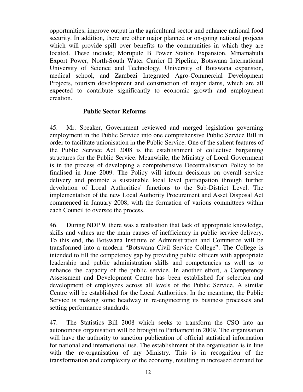opportunities, improve output in the agricultural sector and enhance national food security. In addition, there are other major planned or on-going national projects which will provide spill over benefits to the communities in which they are located. These include; Morupule B Power Station Expansion, Mmamabula Export Power, North-South Water Carrier II Pipeline, Botswana International University of Science and Technology, University of Botswana expansion, medical school, and Zambezi Integrated Agro-Commercial Development Projects, tourism development and construction of major dams, which are all expected to contribute significantly to economic growth and employment creation.

#### **Public Sector Reforms**

45. Mr. Speaker, Government reviewed and merged legislation governing employment in the Public Service into one comprehensive Public Service Bill in order to facilitate unionisation in the Public Service. One of the salient features of the Public Service Act 2008 is the establishment of collective bargaining structures for the Public Service. Meanwhile, the Ministry of Local Government is in the process of developing a comprehensive Decentralisation Policy to be finalised in June 2009. The Policy will inform decisions on overall service delivery and promote a sustainable local level participation through further devolution of Local Authorities' functions to the Sub-District Level. The implementation of the new Local Authority Procurement and Asset Disposal Act commenced in January 2008, with the formation of various committees within each Council to oversee the process.

46. During NDP 9, there was a realisation that lack of appropriate knowledge, skills and values are the main causes of inefficiency in public service delivery. To this end, the Botswana Institute of Administration and Commerce will be transformed into a modern "Botswana Civil Service College". The College is intended to fill the competency gap by providing public officers with appropriate leadership and public administration skills and competencies as well as to enhance the capacity of the public service. In another effort, a Competency Assessment and Development Centre has been established for selection and development of employees across all levels of the Public Service. A similar Centre will be established for the Local Authorities. In the meantime, the Public Service is making some headway in re-engineering its business processes and setting performance standards.

47. The Statistics Bill 2008 which seeks to transform the CSO into an autonomous organisation will be brought to Parliament in 2009. The organisation will have the authority to sanction publication of official statistical information for national and international use. The establishment of the organisation is in line with the re-organisation of my Ministry. This is in recognition of the transformation and complexity of the economy, resulting in increased demand for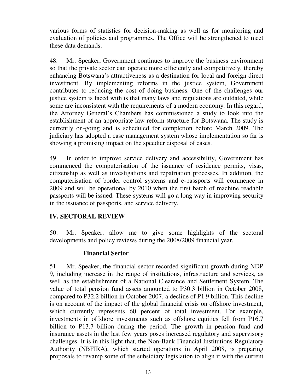various forms of statistics for decision-making as well as for monitoring and evaluation of policies and programmes. The Office will be strengthened to meet these data demands.

48. Mr. Speaker, Government continues to improve the business environment so that the private sector can operate more efficiently and competitively, thereby enhancing Botswana's attractiveness as a destination for local and foreign direct investment. By implementing reforms in the justice system, Government contributes to reducing the cost of doing business. One of the challenges our justice system is faced with is that many laws and regulations are outdated, while some are inconsistent with the requirements of a modern economy. In this regard, the Attorney General's Chambers has commissioned a study to look into the establishment of an appropriate law reform structure for Botswana. The study is currently on-going and is scheduled for completion before March 2009. The judiciary has adopted a case management system whose implementation so far is showing a promising impact on the speedier disposal of cases.

49. In order to improve service delivery and accessibility, Government has commenced the computerisation of the issuance of residence permits, visas, citizenship as well as investigations and repatriation processes. In addition, the computerisation of border control systems and e-passports will commence in 2009 and will be operational by 2010 when the first batch of machine readable passports will be issued. These systems will go a long way in improving security in the issuance of passports, and service delivery.

#### **IV. SECTORAL REVIEW**

50. Mr. Speaker, allow me to give some highlights of the sectoral developments and policy reviews during the 2008/2009 financial year.

#### **Financial Sector**

51. Mr. Speaker, the financial sector recorded significant growth during NDP 9, including increase in the range of institutions, infrastructure and services, as well as the establishment of a National Clearance and Settlement System. The value of total pension fund assets amounted to P30.3 billion in October 2008, compared to P32.2 billion in October 2007, a decline of P1.9 billion. This decline is on account of the impact of the global financial crisis on offshore investment, which currently represents 60 percent of total investment. For example, investments in offshore investments such as offshore equities fell from P16.7 billion to P13.7 billion during the period. The growth in pension fund and insurance assets in the last few years poses increased regulatory and supervisory challenges. It is in this light that, the Non-Bank Financial Institutions Regulatory Authority (NBFIRA), which started operations in April 2008, is preparing proposals to revamp some of the subsidiary legislation to align it with the current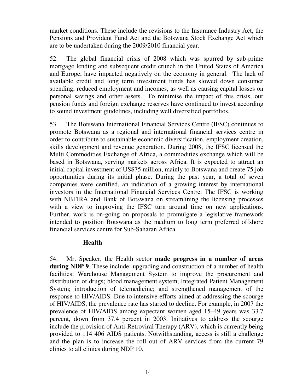market conditions. These include the revisions to the Insurance Industry Act, the Pensions and Provident Fund Act and the Botswana Stock Exchange Act which are to be undertaken during the 2009/2010 financial year.

52. The global financial crisis of 2008 which was spurred by sub-prime mortgage lending and subsequent credit crunch in the United States of America and Europe, have impacted negatively on the economy in general. The lack of available credit and long term investment funds has slowed down consumer spending, reduced employment and incomes, as well as causing capital losses on personal savings and other assets. To minimise the impact of this crisis, our pension funds and foreign exchange reserves have continued to invest according to sound investment guidelines, including well diversified portfolios.

53. The Botswana International Financial Services Centre (IFSC) continues to promote Botswana as a regional and international financial services centre in order to contribute to sustainable economic diversification, employment creation, skills development and revenue generation. During 2008, the IFSC licensed the Multi Commodities Exchange of Africa, a commodities exchange which will be based in Botswana, serving markets across Africa. It is expected to attract an initial capital investment of US\$75 million, mainly to Botswana and create 75 job opportunities during its initial phase. During the past year, a total of seven companies were certified, an indication of a growing interest by international investors in the International Financial Services Centre. The IFSC is working with NBFIRA and Bank of Botswana on streamlining the licensing processes with a view to improving the IFSC turn around time on new applications. Further, work is on-going on proposals to promulgate a legislative framework intended to position Botswana as the medium to long term preferred offshore financial services centre for Sub-Saharan Africa.

#### **Health**

54. Mr. Speaker, the Health sector **made progress in a number of areas during NDP 9**. These include: upgrading and construction of a number of health facilities; Warehouse Management System to improve the procurement and distribution of drugs; blood management system; Integrated Patient Management System; introduction of telemedicine; and strengthened management of the response to HIV/AIDS. Due to intensive efforts aimed at addressing the scourge of HIV/AIDS, the prevalence rate has started to decline. For example, in 2007 the prevalence of HIV/AIDS among expectant women aged 15–49 years was 33.7 percent, down from 37.4 percent in 2003. Initiatives to address the scourge include the provision of Anti-Retroviral Therapy (ARV), which is currently being provided to 114 406 AIDS patients. Notwithstanding, access is still a challenge and the plan is to increase the roll out of ARV services from the current 79 clinics to all clinics during NDP 10.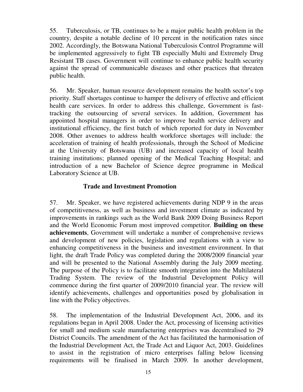55. Tuberculosis, or TB, continues to be a major public health problem in the country, despite a notable decline of 10 percent in the notification rates since 2002. Accordingly, the Botswana National Tuberculosis Control Programme will be implemented aggressively to fight TB especially Multi and Extremely Drug Resistant TB cases. Government will continue to enhance public health security against the spread of communicable diseases and other practices that threaten public health.

56. Mr. Speaker, human resource development remains the health sector's top priority. Staff shortages continue to hamper the delivery of effective and efficient health care services. In order to address this challenge, Government is fasttracking the outsourcing of several services. In addition, Government has appointed hospital managers in order to improve health service delivery and institutional efficiency, the first batch of which reported for duty in November 2008. Other avenues to address health workforce shortages will include: the acceleration of training of health professionals, through the School of Medicine at the University of Botswana (UB) and increased capacity of local health training institutions; planned opening of the Medical Teaching Hospital; and introduction of a new Bachelor of Science degree programme in Medical Laboratory Science at UB.

#### **Trade and Investment Promotion**

57. Mr. Speaker, we have registered achievements during NDP 9 in the areas of competitiveness, as well as business and investment climate as indicated by improvements in rankings such as the World Bank 2009 Doing Business Report and the World Economic Forum most improved competitor. **Building on these achievements**, Government will undertake a number of comprehensive reviews and development of new policies, legislation and regulations with a view to enhancing competitiveness in the business and investment environment. In that light, the draft Trade Policy was completed during the 2008/2009 financial year and will be presented to the National Assembly during the July 2009 meeting. The purpose of the Policy is to facilitate smooth integration into the Multilateral Trading System. The review of the Industrial Development Policy will commence during the first quarter of 2009/2010 financial year. The review will identify achievements, challenges and opportunities posed by globalisation in line with the Policy objectives.

58. The implementation of the Industrial Development Act, 2006, and its regulations began in April 2008. Under the Act, processing of licensing activities for small and medium scale manufacturing enterprises was decentralised to 29 District Councils. The amendment of the Act has facilitated the harmonisation of the Industrial Development Act, the Trade Act and Liquor Act, 2003. Guidelines to assist in the registration of micro enterprises falling below licensing requirements will be finalised in March 2009. In another development,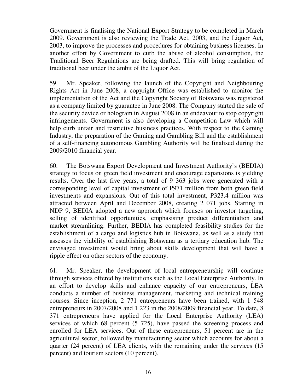Government is finalising the National Export Strategy to be completed in March 2009. Government is also reviewing the Trade Act, 2003, and the Liquor Act, 2003, to improve the processes and procedures for obtaining business licenses. In another effort by Government to curb the abuse of alcohol consumption, the Traditional Beer Regulations are being drafted. This will bring regulation of traditional beer under the ambit of the Liquor Act.

59. Mr. Speaker, following the launch of the Copyright and Neighbouring Rights Act in June 2008, a copyright Office was established to monitor the implementation of the Act and the Copyright Society of Botswana was registered as a company limited by guarantee in June 2008. The Company started the sale of the security device or hologram in August 2008 in an endeavour to stop copyright infringements. Government is also developing a Competition Law which will help curb unfair and restrictive business practices. With respect to the Gaming Industry, the preparation of the Gaming and Gambling Bill and the establishment of a self-financing autonomous Gambling Authority will be finalised during the 2009/2010 financial year.

60. The Botswana Export Development and Investment Authority's (BEDIA) strategy to focus on green field investment and encourage expansions is yielding results. Over the last five years, a total of 9 363 jobs were generated with a corresponding level of capital investment of P971 million from both green field investments and expansions. Out of this total investment, P323.4 million was attracted between April and December 2008, creating 2 071 jobs. Starting in NDP 9, BEDIA adopted a new approach which focuses on investor targeting, selling of identified opportunities, emphasising product differentiation and market streamlining. Further, BEDIA has completed feasibility studies for the establishment of a cargo and logistics hub in Botswana, as well as a study that assesses the viability of establishing Botswana as a tertiary education hub. The envisaged investment would bring about skills development that will have a ripple effect on other sectors of the economy.

61. Mr. Speaker, the development of local entrepreneurship will continue through services offered by institutions such as the Local Enterprise Authority. In an effort to develop skills and enhance capacity of our entrepreneurs, LEA conducts a number of business management, marketing and technical training courses. Since inception, 2 771 entrepreneurs have been trained, with 1 548 entrepreneurs in 2007/2008 and 1 223 in the 2008/2009 financial year. To date, 8 371 entrepreneurs have applied for the Local Enterprise Authority (LEA) services of which 68 percent (5 725), have passed the screening process and enrolled for LEA services. Out of these entrepreneurs, 51 percent are in the agricultural sector, followed by manufacturing sector which accounts for about a quarter (24 percent) of LEA clients, with the remaining under the services (15 percent) and tourism sectors (10 percent).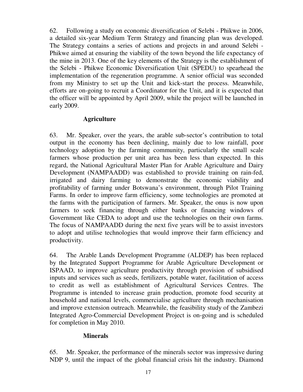62. Following a study on economic diversification of Selebi - Phikwe in 2006, a detailed six-year Medium Term Strategy and financing plan was developed. The Strategy contains a series of actions and projects in and around Selebi - Phikwe aimed at ensuring the viability of the town beyond the life expectancy of the mine in 2013. One of the key elements of the Strategy is the establishment of the Selebi - Phikwe Economic Diversification Unit (SPEDU) to spearhead the implementation of the regeneration programme. A senior official was seconded from my Ministry to set up the Unit and kick-start the process. Meanwhile, efforts are on-going to recruit a Coordinator for the Unit, and it is expected that the officer will be appointed by April 2009, while the project will be launched in early 2009.

## **Agriculture**

63. Mr. Speaker, over the years, the arable sub-sector's contribution to total output in the economy has been declining, mainly due to low rainfall, poor technology adoption by the farming community, particularly the small scale farmers whose production per unit area has been less than expected. In this regard, the National Agricultural Master Plan for Arable Agriculture and Dairy Development (NAMPAADD) was established to provide training on rain-fed, irrigated and dairy farming to demonstrate the economic viability and profitability of farming under Botswana's environment, through Pilot Training Farms. In order to improve farm efficiency, some technologies are promoted at the farms with the participation of farmers. Mr. Speaker, the onus is now upon farmers to seek financing through either banks or financing windows of Government like CEDA to adopt and use the technologies on their own farms. The focus of NAMPAADD during the next five years will be to assist investors to adopt and utilise technologies that would improve their farm efficiency and productivity.

64. The Arable Lands Development Programme (ALDEP) has been replaced by the Integrated Support Programme for Arable Agriculture Development or ISPAAD, to improve agriculture productivity through provision of subsidised inputs and services such as seeds, fertilizers, potable water, facilitation of access to credit as well as establishment of Agricultural Services Centres. The Programme is intended to increase grain production, promote food security at household and national levels, commercialise agriculture through mechanisation and improve extension outreach. Meanwhile, the feasibility study of the Zambezi Integrated Agro-Commercial Development Project is on-going and is scheduled for completion in May 2010.

#### **Minerals**

65. Mr. Speaker, the performance of the minerals sector was impressive during NDP 9, until the impact of the global financial crisis hit the industry. Diamond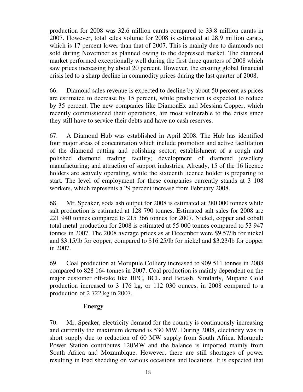production for 2008 was 32.6 million carats compared to 33.8 million carats in 2007. However, total sales volume for 2008 is estimated at 28.9 million carats, which is 17 percent lower than that of 2007. This is mainly due to diamonds not sold during November as planned owing to the depressed market. The diamond market performed exceptionally well during the first three quarters of 2008 which saw prices increasing by about 20 percent. However, the ensuing global financial crisis led to a sharp decline in commodity prices during the last quarter of 2008.

66. Diamond sales revenue is expected to decline by about 50 percent as prices are estimated to decrease by 15 percent, while production is expected to reduce by 35 percent. The new companies like DiamonEx and Messina Copper, which recently commissioned their operations, are most vulnerable to the crisis since they still have to service their debts and have no cash reserves.

67. A Diamond Hub was established in April 2008. The Hub has identified four major areas of concentration which include promotion and active facilitation of the diamond cutting and polishing sector; establishment of a rough and polished diamond trading facility; development of diamond jewellery manufacturing; and attraction of support industries. Already, 15 of the 16 licence holders are actively operating, while the sixteenth licence holder is preparing to start. The level of employment for these companies currently stands at 3 108 workers, which represents a 29 percent increase from February 2008.

68. Mr. Speaker, soda ash output for 2008 is estimated at 280 000 tonnes while salt production is estimated at 128 790 tonnes. Estimated salt sales for 2008 are 221 940 tonnes compared to 215 366 tonnes for 2007. Nickel, copper and cobalt total metal production for 2008 is estimated at 55 000 tonnes compared to 53 947 tonnes in 2007. The 2008 average prices as at December were \$9.57/lb for nickel and \$3.15/lb for copper, compared to \$16.25/lb for nickel and \$3.23/lb for copper in 2007.

69. Coal production at Morupule Colliery increased to 909 511 tonnes in 2008 compared to 828 164 tonnes in 2007. Coal production is mainly dependent on the major customer off-take like BPC, BCL and Botash. Similarly, Mupane Gold production increased to 3 176 kg, or 112 030 ounces, in 2008 compared to a production of 2 722 kg in 2007.

#### **Energy**

70. Mr. Speaker, electricity demand for the country is continuously increasing and currently the maximum demand is 530 MW. During 2008, electricity was in short supply due to reduction of 60 MW supply from South Africa. Morupule Power Station contributes 120MW and the balance is imported mainly from South Africa and Mozambique. However, there are still shortages of power resulting in load shedding on various occasions and locations. It is expected that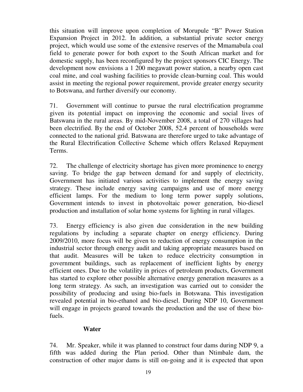this situation will improve upon completion of Morupule "B" Power Station Expansion Project in 2012. In addition, a substantial private sector energy project, which would use some of the extensive reserves of the Mmamabula coal field to generate power for both export to the South African market and for domestic supply, has been reconfigured by the project sponsors CIC Energy. The development now envisions a 1 200 megawatt power station, a nearby open cast coal mine, and coal washing facilities to provide clean-burning coal. This would assist in meeting the regional power requirement, provide greater energy security to Botswana, and further diversify our economy.

71. Government will continue to pursue the rural electrification programme given its potential impact on improving the economic and social lives of Batswana in the rural areas. By mid-November 2008, a total of 270 villages had been electrified. By the end of October 2008, 52.4 percent of households were connected to the national grid. Batswana are therefore urged to take advantage of the Rural Electrification Collective Scheme which offers Relaxed Repayment Terms.

72. The challenge of electricity shortage has given more prominence to energy saving. To bridge the gap between demand for and supply of electricity, Government has initiated various activities to implement the energy saving strategy. These include energy saving campaigns and use of more energy efficient lamps. For the medium to long term power supply solutions, Government intends to invest in photovoltaic power generation, bio-diesel production and installation of solar home systems for lighting in rural villages.

73. Energy efficiency is also given due consideration in the new building regulations by including a separate chapter on energy efficiency. During 2009/2010, more focus will be given to reduction of energy consumption in the industrial sector through energy audit and taking appropriate measures based on that audit. Measures will be taken to reduce electricity consumption in government buildings, such as replacement of inefficient lights by energy efficient ones. Due to the volatility in prices of petroleum products, Government has started to explore other possible alternative energy generation measures as a long term strategy. As such, an investigation was carried out to consider the possibility of producing and using bio-fuels in Botswana. This investigation revealed potential in bio-ethanol and bio-diesel. During NDP 10, Government will engage in projects geared towards the production and the use of these biofuels.

#### **Water**

74. Mr. Speaker, while it was planned to construct four dams during NDP 9, a fifth was added during the Plan period. Other than Ntimbale dam, the construction of other major dams is still on-going and it is expected that upon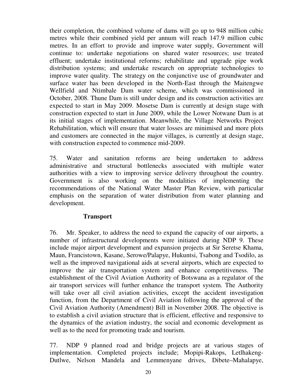their completion, the combined volume of dams will go up to 948 million cubic metres while their combined yield per annum will reach 147.9 million cubic metres. In an effort to provide and improve water supply, Government will continue to: undertake negotiations on shared water resources; use treated effluent; undertake institutional reforms; rehabilitate and upgrade pipe work distribution systems; and undertake research on appropriate technologies to improve water quality. The strategy on the conjunctive use of groundwater and surface water has been developed in the North-East through the Maitengwe Wellfield and Ntimbale Dam water scheme, which was commissioned in October, 2008. Thune Dam is still under design and its construction activities are expected to start in May 2009. Mosetse Dam is currently at design stage with construction expected to start in June 2009, while the Lower Notwane Dam is at its initial stages of implementation. Meanwhile, the Village Networks Project Rehabilitation, which will ensure that water losses are minimised and more plots and customers are connected in the major villages, is currently at design stage, with construction expected to commence mid-2009.

75. Water and sanitation reforms are being undertaken to address administrative and structural bottlenecks associated with multiple water authorities with a view to improving service delivery throughout the country. Government is also working on the modalities of implementing the recommendations of the National Water Master Plan Review, with particular emphasis on the separation of water distribution from water planning and development.

#### **Transport**

76. Mr. Speaker, to address the need to expand the capacity of our airports, a number of infrastructural developments were initiated during NDP 9. These include major airport development and expansion projects at Sir Seretse Khama, Maun, Francistown, Kasane, Serowe/Palapye, Hukuntsi, Tsabong and Tsodilo, as well as the improved navigational aids at several airports, which are expected to improve the air transportation system and enhance competitiveness. The establishment of the Civil Aviation Authority of Botswana as a regulator of the air transport services will further enhance the transport system. The Authority will take over all civil aviation activities, except the accident investigation function, from the Department of Civil Aviation following the approval of the Civil Aviation Authority (Amendment) Bill in November 2008. The objective is to establish a civil aviation structure that is efficient, effective and responsive to the dynamics of the aviation industry, the social and economic development as well as to the need for promoting trade and tourism.

77. NDP 9 planned road and bridge projects are at various stages of implementation. Completed projects include; Mopipi-Rakops, Letlhakeng-Dutlwe, Nelson Mandela and Lemmenyane drives, Dibete–Mahalapye,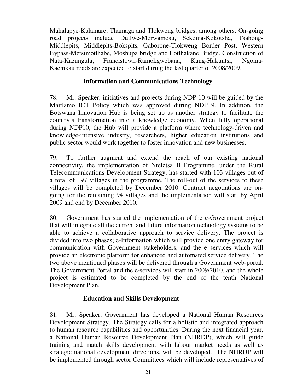Mahalapye-Kalamare, Thamaga and Tlokweng bridges, among others. On-going road projects include Dutlwe-Morwamosu, Sekoma-Kokotsha, Tsabong-Middlepits, Middlepits-Bokspits, Gaborone-Tlokweng Border Post, Western Bypass-Metsimotlhabe, Moshupa bridge and Lotlhakane Bridge. Construction of Nata-Kazungula, Francistown-Ramokgwebana, Kang-Hukuntsi, Ngoma-Kachikau roads are expected to start during the last quarter of 2008/2009.

#### **Information and Communications Technology**

78. Mr. Speaker, initiatives and projects during NDP 10 will be guided by the Maitlamo ICT Policy which was approved during NDP 9. In addition, the Botswana Innovation Hub is being set up as another strategy to facilitate the country's transformation into a knowledge economy. When fully operational during NDP10, the Hub will provide a platform where technology-driven and knowledge-intensive industry, researchers, higher education institutions and public sector would work together to foster innovation and new businesses.

79. To further augment and extend the reach of our existing national connectivity, the implementation of Nteletsa II Programme, under the Rural Telecommunications Development Strategy, has started with 103 villages out of a total of 197 villages in the programme. The roll-out of the services to these villages will be completed by December 2010. Contract negotiations are ongoing for the remaining 94 villages and the implementation will start by April 2009 and end by December 2010.

80. Government has started the implementation of the e-Government project that will integrate all the current and future information technology systems to be able to achieve a collaborative approach to service delivery. The project is divided into two phases; e-Information which will provide one entry gateway for communication with Government stakeholders, and the e–services which will provide an electronic platform for enhanced and automated service delivery. The two above mentioned phases will be delivered through a Government web-portal. The Government Portal and the e-services will start in 2009/2010, and the whole project is estimated to be completed by the end of the tenth National Development Plan.

# **Education and Skills Development**

81. Mr. Speaker, Government has developed a National Human Resources Development Strategy. The Strategy calls for a holistic and integrated approach to human resource capabilities and opportunities. During the next financial year, a National Human Resource Development Plan (NHRDP), which will guide training and match skills development with labour market needs as well as strategic national development directions, will be developed. The NHRDP will be implemented through sector Committees which will include representatives of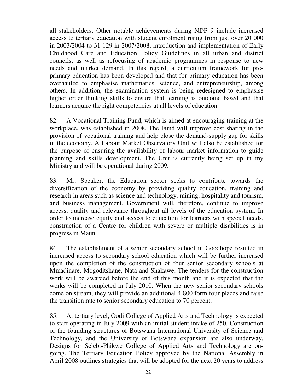all stakeholders. Other notable achievements during NDP 9 include increased access to tertiary education with student enrolment rising from just over 20 000 in 2003/2004 to 31 129 in 2007/2008, introduction and implementation of Early Childhood Care and Education Policy Guidelines in all urban and district councils, as well as refocusing of academic programmes in response to new needs and market demand. In this regard, a curriculum framework for preprimary education has been developed and that for primary education has been overhauled to emphasise mathematics, science, and entrepreneurship, among others. In addition, the examination system is being redesigned to emphasise higher order thinking skills to ensure that learning is outcome based and that learners acquire the right competencies at all levels of education.

82. A Vocational Training Fund, which is aimed at encouraging training at the workplace, was established in 2008. The Fund will improve cost sharing in the provision of vocational training and help close the demand-supply gap for skills in the economy. A Labour Market Observatory Unit will also be established for the purpose of ensuring the availability of labour market information to guide planning and skills development. The Unit is currently being set up in my Ministry and will be operational during 2009.

83. Mr. Speaker, the Education sector seeks to contribute towards the diversification of the economy by providing quality education, training and research in areas such as science and technology, mining, hospitality and tourism, and business management. Government will, therefore, continue to improve access, quality and relevance throughout all levels of the education system. In order to increase equity and access to education for learners with special needs, construction of a Centre for children with severe or multiple disabilities is in progress in Maun.

84. The establishment of a senior secondary school in Goodhope resulted in increased access to secondary school education which will be further increased upon the completion of the construction of four senior secondary schools at Mmadinare, Mogoditshane, Nata and Shakawe. The tenders for the construction work will be awarded before the end of this month and it is expected that the works will be completed in July 2010. When the new senior secondary schools come on stream, they will provide an additional 4 800 form four places and raise the transition rate to senior secondary education to 70 percent.

85. At tertiary level, Oodi College of Applied Arts and Technology is expected to start operating in July 2009 with an initial student intake of 250. Construction of the founding structures of Botswana International University of Science and Technology, and the University of Botswana expansion are also underway. Designs for Selebi-Phikwe College of Applied Arts and Technology are ongoing. The Tertiary Education Policy approved by the National Assembly in April 2008 outlines strategies that will be adopted for the next 20 years to address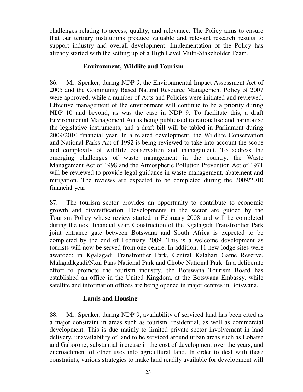challenges relating to access, quality, and relevance. The Policy aims to ensure that our tertiary institutions produce valuable and relevant research results to support industry and overall development. Implementation of the Policy has already started with the setting up of a High Level Multi-Stakeholder Team.

#### **Environment, Wildlife and Tourism**

86. Mr. Speaker, during NDP 9, the Environmental Impact Assessment Act of 2005 and the Community Based Natural Resource Management Policy of 2007 were approved, while a number of Acts and Policies were initiated and reviewed. Effective management of the environment will continue to be a priority during NDP 10 and beyond, as was the case in NDP 9. To facilitate this, a draft Environmental Management Act is being publicised to rationalise and harmonise the legislative instruments, and a draft bill will be tabled in Parliament during 2009/2010 financial year. In a related development, the Wildlife Conservation and National Parks Act of 1992 is being reviewed to take into account the scope and complexity of wildlife conservation and management. To address the emerging challenges of waste management in the country, the Waste Management Act of 1998 and the Atmospheric Pollution Prevention Act of 1971 will be reviewed to provide legal guidance in waste management, abatement and mitigation. The reviews are expected to be completed during the 2009/2010 financial year.

87. The tourism sector provides an opportunity to contribute to economic growth and diversification. Developments in the sector are guided by the Tourism Policy whose review started in February 2008 and will be completed during the next financial year. Construction of the Kgalagadi Transfrontier Park joint entrance gate between Botswana and South Africa is expected to be completed by the end of February 2009. This is a welcome development as tourists will now be served from one centre. In addition, 11 new lodge sites were awarded; in Kgalagadi Transfrontier Park, Central Kalahari Game Reserve, Makgadikgadi/Nxai Pans National Park and Chobe National Park. In a deliberate effort to promote the tourism industry, the Botswana Tourism Board has established an office in the United Kingdom, at the Botswana Embassy, while satellite and information offices are being opened in major centres in Botswana.

# **Lands and Housing**

88. Mr. Speaker, during NDP 9, availability of serviced land has been cited as a major constraint in areas such as tourism, residential, as well as commercial development. This is due mainly to limited private sector involvement in land delivery, unavailability of land to be serviced around urban areas such as Lobatse and Gaborone, substantial increase in the cost of development over the years, and encroachment of other uses into agricultural land. In order to deal with these constraints, various strategies to make land readily available for development will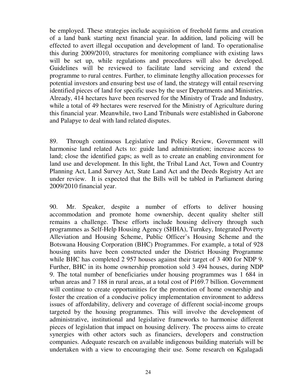be employed. These strategies include acquisition of freehold farms and creation of a land bank starting next financial year. In addition, land policing will be effected to avert illegal occupation and development of land. To operationalise this during 2009/2010, structures for monitoring compliance with existing laws will be set up, while regulations and procedures will also be developed. Guidelines will be reviewed to facilitate land servicing and extend the programme to rural centres. Further, to eliminate lengthy allocation processes for potential investors and ensuring best use of land, the strategy will entail reserving identified pieces of land for specific uses by the user Departments and Ministries. Already, 414 hectares have been reserved for the Ministry of Trade and Industry, while a total of 49 hectares were reserved for the Ministry of Agriculture during this financial year. Meanwhile, two Land Tribunals were established in Gaborone and Palapye to deal with land related disputes.

89. Through continuous Legislative and Policy Review, Government will harmonise land related Acts to: guide land administration; increase access to land; close the identified gaps; as well as to create an enabling environment for land use and development. In this light, the Tribal Land Act, Town and Country Planning Act, Land Survey Act, State Land Act and the Deeds Registry Act are under review. It is expected that the Bills will be tabled in Parliament during 2009/2010 financial year.

90. Mr. Speaker, despite a number of efforts to deliver housing accommodation and promote home ownership, decent quality shelter still remains a challenge. These efforts include housing delivery through such programmes as Self-Help Housing Agency (SHHA), Turnkey, Integrated Poverty Alleviation and Housing Scheme, Public Officer's Housing Scheme and the Botswana Housing Corporation (BHC) Programmes. For example, a total of 928 housing units have been constructed under the District Housing Programme while BHC has completed 2 957 houses against their target of 3 400 for NDP 9. Further, BHC in its home ownership promotion sold 3 494 houses, during NDP 9. The total number of beneficiaries under housing programmes was 1 684 in urban areas and 7 188 in rural areas, at a total cost of P169.7 billion. Government will continue to create opportunities for the promotion of home ownership and foster the creation of a conducive policy implementation environment to address issues of affordability, delivery and coverage of different social-income groups targeted by the housing programmes. This will involve the development of administrative, institutional and legislative frameworks to harmonise different pieces of legislation that impact on housing delivery. The process aims to create synergies with other actors such as financiers, developers and construction companies. Adequate research on available indigenous building materials will be undertaken with a view to encouraging their use. Some research on Kgalagadi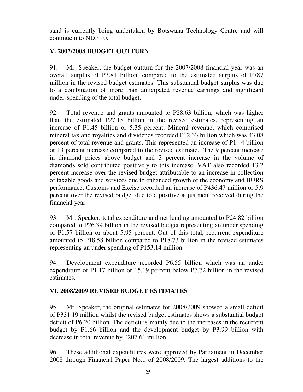sand is currently being undertaken by Botswana Technology Centre and will continue into NDP 10.

# **V. 2007/2008 BUDGET OUTTURN**

91. Mr. Speaker, the budget outturn for the 2007/2008 financial year was an overall surplus of P3.81 billion, compared to the estimated surplus of P787 million in the revised budget estimates. This substantial budget surplus was due to a combination of more than anticipated revenue earnings and significant under-spending of the total budget.

92. Total revenue and grants amounted to P28.63 billion, which was higher than the estimated P27.18 billion in the revised estimates, representing an increase of P1.45 billion or 5.35 percent. Mineral revenue, which comprised mineral tax and royalties and dividends recorded P12.33 billion which was 43.08 percent of total revenue and grants. This represented an increase of P1.44 billion or 13 percent increase compared to the revised estimate. The 9 percent increase in diamond prices above budget and 3 percent increase in the volume of diamonds sold contributed positively to this increase. VAT also recorded 13.2 percent increase over the revised budget attributable to an increase in collection of taxable goods and services due to enhanced growth of the economy and BURS performance. Customs and Excise recorded an increase of P436.47 million or 5.9 percent over the revised budget due to a positive adjustment received during the financial year.

93. Mr. Speaker, total expenditure and net lending amounted to P24.82 billion compared to P26.39 billion in the revised budget representing an under spending of P1.57 billion or about 5.95 percent. Out of this total, recurrent expenditure amounted to P18.58 billion compared to P18.73 billion in the revised estimates representing an under spending of P153.14 million.

94. Development expenditure recorded P6.55 billion which was an under expenditure of P1.17 billion or 15.19 percent below P7.72 billion in the revised estimates.

# **VI. 2008/2009 REVISED BUDGET ESTIMATES**

95. Mr. Speaker, the original estimates for 2008/2009 showed a small deficit of P331.19 million whilst the revised budget estimates shows a substantial budget deficit of P6.20 billion. The deficit is mainly due to the increases in the recurrent budget by P1.66 billion and the development budget by P3.99 billion with decrease in total revenue by P207.61 million.

96. These additional expenditures were approved by Parliament in December 2008 through Financial Paper No.1 of 2008/2009. The largest additions to the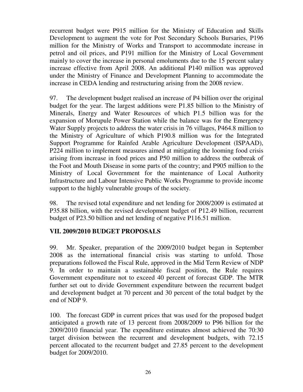recurrent budget were P915 million for the Ministry of Education and Skills Development to augment the vote for Post Secondary Schools Bursaries, P196 million for the Ministry of Works and Transport to accommodate increase in petrol and oil prices, and P191 million for the Ministry of Local Government mainly to cover the increase in personal emoluments due to the 15 percent salary increase effective from April 2008. An additional P140 million was approved under the Ministry of Finance and Development Planning to accommodate the increase in CEDA lending and restructuring arising from the 2008 review.

97. The development budget realised an increase of P4 billion over the original budget for the year. The largest additions were P1.85 billion to the Ministry of Minerals, Energy and Water Resources of which P1.5 billion was for the expansion of Morupule Power Station while the balance was for the Emergency Water Supply projects to address the water crisis in 76 villages, P464.8 million to the Ministry of Agriculture of which P190.8 million was for the Integrated Support Programme for Rainfed Arable Agriculture Development (ISPAAD), P224 million to implement measures aimed at mitigating the looming food crisis arising from increase in food prices and P50 million to address the outbreak of the Foot and Mouth Disease in some parts of the country; and P905 million to the Ministry of Local Government for the maintenance of Local Authority Infrastructure and Labour Intensive Public Works Programme to provide income support to the highly vulnerable groups of the society.

98. The revised total expenditure and net lending for 2008/2009 is estimated at P35.88 billion, with the revised development budget of P12.49 billion, recurrent budget of P23.50 billion and net lending of negative P116.51 million.

# **VII. 2009/2010 BUDGET PROPOSALS**

99. Mr. Speaker, preparation of the 2009/2010 budget began in September 2008 as the international financial crisis was starting to unfold. Those preparations followed the Fiscal Rule, approved in the Mid Term Review of NDP 9. In order to maintain a sustainable fiscal position, the Rule requires Government expenditure not to exceed 40 percent of forecast GDP. The MTR further set out to divide Government expenditure between the recurrent budget and development budget at 70 percent and 30 percent of the total budget by the end of NDP 9.

100. The forecast GDP in current prices that was used for the proposed budget anticipated a growth rate of 13 percent from 2008/2009 to P96 billion for the 2009/2010 financial year. The expenditure estimates almost achieved the 70:30 target division between the recurrent and development budgets, with 72.15 percent allocated to the recurrent budget and 27.85 percent to the development budget for 2009/2010.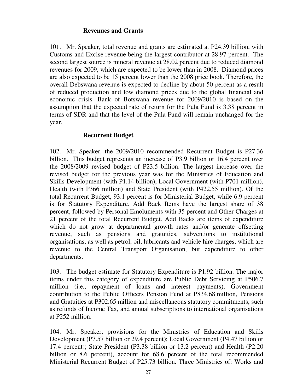#### **Revenues and Grants**

101. Mr. Speaker, total revenue and grants are estimated at P24.39 billion, with Customs and Excise revenue being the largest contributor at 28.97 percent. The second largest source is mineral revenue at 28.02 percent due to reduced diamond revenues for 2009, which are expected to be lower than in 2008. Diamond prices are also expected to be 15 percent lower than the 2008 price book. Therefore, the overall Debswana revenue is expected to decline by about 50 percent as a result of reduced production and low diamond prices due to the global financial and economic crisis. Bank of Botswana revenue for 2009/2010 is based on the assumption that the expected rate of return for the Pula Fund is 3.38 percent in terms of SDR and that the level of the Pula Fund will remain unchanged for the year.

#### **Recurrent Budget**

102. Mr. Speaker, the 2009/2010 recommended Recurrent Budget is P27.36 billion. This budget represents an increase of P3.9 billion or 16.4 percent over the 2008/2009 revised budget of P23.5 billion. The largest increase over the revised budget for the previous year was for the Ministries of Education and Skills Development (with P1.14 billion), Local Government (with P701 million), Health (with P366 million) and State President (with P422.55 million). Of the total Recurrent Budget, 93.1 percent is for Ministerial Budget, while 6.9 percent is for Statutory Expenditure. Add Back Items have the largest share of 38 percent, followed by Personal Emoluments with 35 percent and Other Charges at 21 percent of the total Recurrent Budget. Add Backs are items of expenditure which do not grow at departmental growth rates and/or generate offsetting revenue, such as pensions and gratuities, subventions to institutional organisations, as well as petrol, oil, lubricants and vehicle hire charges, which are revenue to the Central Transport Organisation, but expenditure to other departments.

103. The budget estimate for Statutory Expenditure is P1.92 billion. The major items under this category of expenditure are Public Debt Servicing at P506.7 million (i.e., repayment of loans and interest payments), Government contribution to the Public Officers Pension Fund at P834.68 million, Pensions and Gratuities at P302.65 million and miscellaneous statutory commitments, such as refunds of Income Tax, and annual subscriptions to international organisations at P252 million.

104. Mr. Speaker, provisions for the Ministries of Education and Skills Development (P7.57 billion or 29.4 percent); Local Government (P4.47 billion or 17.4 percent); State President (P3.38 billion or 13.2 percent) and Health (P2.20 billion or 8.6 percent), account for 68.6 percent of the total recommended Ministerial Recurrent Budget of P25.73 billion. Three Ministries of: Works and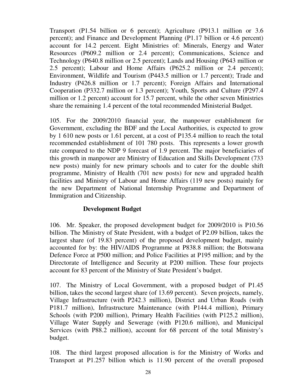Transport (P1.54 billion or 6 percent); Agriculture (P913.1 million or 3.6 percent); and Finance and Development Planning (P1.17 billion or 4.6 percent) account for 14.2 percent. Eight Ministries of: Minerals, Energy and Water Resources (P609.2 million or 2.4 percent); Communications, Science and Technology (P640.8 million or 2.5 percent); Lands and Housing (P643 million or 2.5 percent); Labour and Home Affairs (P625.2 million or 2.4 percent); Environment, Wildlife and Tourism (P443.5 million or 1.7 percent); Trade and Industry (P426.8 million or 1.7 percent); Foreign Affairs and International Cooperation (P332.7 million or 1.3 percent); Youth, Sports and Culture (P297.4 million or 1.2 percent) account for 15.7 percent, while the other seven Ministries share the remaining 1.4 percent of the total recommended Ministerial Budget.

105. For the 2009/2010 financial year, the manpower establishment for Government, excluding the BDF and the Local Authorities, is expected to grow by 1 610 new posts or 1.61 percent, at a cost of P135.4 million to reach the total recommended establishment of 101 780 posts. This represents a lower growth rate compared to the NDP 9 forecast of 1.9 percent. The major beneficiaries of this growth in manpower are Ministry of Education and Skills Development (733 new posts) mainly for new primary schools and to cater for the double shift programme, Ministry of Health (701 new posts) for new and upgraded health facilities and Ministry of Labour and Home Affairs (119 new posts) mainly for the new Department of National Internship Programme and Department of Immigration and Citizenship.

#### **Development Budget**

106. Mr. Speaker, the proposed development budget for 2009/2010 is P10.56 billion. The Ministry of State President, with a budget of P2.09 billion, takes the largest share (of 19.83 percent) of the proposed development budget, mainly accounted for by: the HIV/AIDS Programme at P838.8 million; the Botswana Defence Force at P500 million; and Police Facilities at P195 million; and by the Directorate of Intelligence and Security at P200 million. These four projects account for 83 percent of the Ministry of State President's budget.

107. The Ministry of Local Government, with a proposed budget of P1.45 billion, takes the second largest share (of 13.69 percent). Seven projects, namely, Village Infrastructure (with P242.3 million), District and Urban Roads (with P181.7 million), Infrastructure Maintenance (with P144.4 million), Primary Schools (with P200 million), Primary Health Facilities (with P125.2 million), Village Water Supply and Sewerage (with P120.6 million), and Municipal Services (with P88.2 million), account for 68 percent of the total Ministry's budget.

108. The third largest proposed allocation is for the Ministry of Works and Transport at P1.257 billion which is 11.90 percent of the overall proposed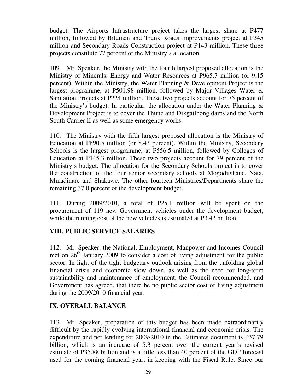budget. The Airports Infrastructure project takes the largest share at P477 million, followed by Bitumen and Trunk Roads Improvements project at P345 million and Secondary Roads Construction project at P143 million. These three projects constitute 77 percent of the Ministry's allocation.

109. Mr. Speaker, the Ministry with the fourth largest proposed allocation is the Ministry of Minerals, Energy and Water Resources at P965.7 million (or 9.15 percent). Within the Ministry, the Water Planning & Development Project is the largest programme, at P501.98 million, followed by Major Villages Water & Sanitation Projects at P224 million. These two projects account for 75 percent of the Ministry's budget. In particular, the allocation under the Water Planning  $\&$ Development Project is to cover the Thune and Dikgatlhong dams and the North South Carrier II as well as some emergency works.

110. The Ministry with the fifth largest proposed allocation is the Ministry of Education at P890.5 million (or 8.43 percent). Within the Ministry, Secondary Schools is the largest programme, at P556.5 million, followed by Colleges of Education at P145.3 million. These two projects account for 79 percent of the Ministry's budget. The allocation for the Secondary Schools project is to cover the construction of the four senior secondary schools at Mogoditshane, Nata, Mmadinare and Shakawe. The other fourteen Ministries/Departments share the remaining 37.0 percent of the development budget.

111. During 2009/2010, a total of P25.1 million will be spent on the procurement of 119 new Government vehicles under the development budget, while the running cost of the new vehicles is estimated at P3.42 million.

# **VIII. PUBLIC SERVICE SALARIES**

112. Mr. Speaker, the National, Employment, Manpower and Incomes Council met on  $26<sup>th</sup>$  January 2009 to consider a cost of living adjustment for the public sector. In light of the tight budgetary outlook arising from the unfolding global financial crisis and economic slow down, as well as the need for long-term sustainability and maintenance of employment, the Council recommended, and Government has agreed, that there be no public sector cost of living adjustment during the 2009/2010 financial year.

#### **IX. OVERALL BALANCE**

113. Mr. Speaker, preparation of this budget has been made extraordinarily difficult by the rapidly evolving international financial and economic crisis. The expenditure and net lending for 2009/2010 in the Estimates document is P37.79 billion, which is an increase of 5.3 percent over the current year's revised estimate of P35.88 billion and is a little less than 40 percent of the GDP forecast used for the coming financial year, in keeping with the Fiscal Rule. Since our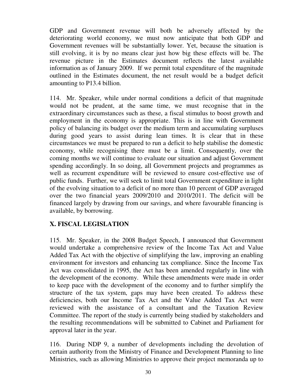GDP and Government revenue will both be adversely affected by the deteriorating world economy, we must now anticipate that both GDP and Government revenues will be substantially lower. Yet, because the situation is still evolving, it is by no means clear just how big these effects will be. The revenue picture in the Estimates document reflects the latest available information as of January 2009. If we permit total expenditure of the magnitude outlined in the Estimates document, the net result would be a budget deficit amounting to P13.4 billion.

114. Mr. Speaker, while under normal conditions a deficit of that magnitude would not be prudent, at the same time, we must recognise that in the extraordinary circumstances such as these, a fiscal stimulus to boost growth and employment in the economy is appropriate. This is in line with Government policy of balancing its budget over the medium term and accumulating surpluses during good years to assist during lean times. It is clear that in these circumstances we must be prepared to run a deficit to help stabilise the domestic economy, while recognising there must be a limit. Consequently, over the coming months we will continue to evaluate our situation and adjust Government spending accordingly. In so doing, all Government projects and programmes as well as recurrent expenditure will be reviewed to ensure cost-effective use of public funds. Further, we will seek to limit total Government expenditure in light of the evolving situation to a deficit of no more than 10 percent of GDP averaged over the two financial years 2009/2010 and 2010/2011. The deficit will be financed largely by drawing from our savings, and where favourable financing is available, by borrowing.

# **X. FISCAL LEGISLATION**

115. Mr. Speaker, in the 2008 Budget Speech, I announced that Government would undertake a comprehensive review of the Income Tax Act and Value Added Tax Act with the objective of simplifying the law, improving an enabling environment for investors and enhancing tax compliance. Since the Income Tax Act was consolidated in 1995, the Act has been amended regularly in line with the development of the economy. While these amendments were made in order to keep pace with the development of the economy and to further simplify the structure of the tax system, gaps may have been created. To address these deficiencies, both our Income Tax Act and the Value Added Tax Act were reviewed with the assistance of a consultant and the Taxation Review Committee. The report of the study is currently being studied by stakeholders and the resulting recommendations will be submitted to Cabinet and Parliament for approval later in the year.

116. During NDP 9, a number of developments including the devolution of certain authority from the Ministry of Finance and Development Planning to line Ministries, such as allowing Ministries to approve their project memoranda up to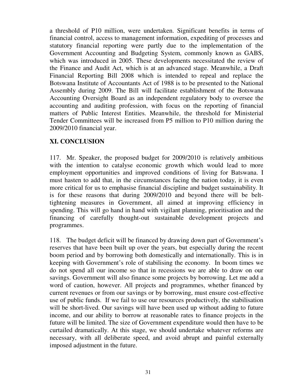a threshold of P10 million, were undertaken. Significant benefits in terms of financial control, access to management information, expediting of processes and statutory financial reporting were partly due to the implementation of the Government Accounting and Budgeting System, commonly known as GABS, which was introduced in 2005. These developments necessitated the review of the Finance and Audit Act, which is at an advanced stage. Meanwhile, a Draft Financial Reporting Bill 2008 which is intended to repeal and replace the Botswana Institute of Accountants Act of 1988 is to be presented to the National Assembly during 2009. The Bill will facilitate establishment of the Botswana Accounting Oversight Board as an independent regulatory body to oversee the accounting and auditing profession, with focus on the reporting of financial matters of Public Interest Entities. Meanwhile, the threshold for Ministerial Tender Committees will be increased from P5 million to P10 million during the 2009/2010 financial year.

# **XI. CONCLUSION**

117. Mr. Speaker, the proposed budget for 2009/2010 is relatively ambitious with the intention to catalyse economic growth which would lead to more employment opportunities and improved conditions of living for Batswana. I must hasten to add that, in the circumstances facing the nation today, it is even more critical for us to emphasise financial discipline and budget sustainability. It is for these reasons that during 2009/2010 and beyond there will be belttightening measures in Government, all aimed at improving efficiency in spending. This will go hand in hand with vigilant planning, prioritisation and the financing of carefully thought-out sustainable development projects and programmes.

118. The budget deficit will be financed by drawing down part of Government's reserves that have been built up over the years, but especially during the recent boom period and by borrowing both domestically and internationally. This is in keeping with Government's role of stabilising the economy. In boom times we do not spend all our income so that in recessions we are able to draw on our savings. Government will also finance some projects by borrowing. Let me add a word of caution, however. All projects and programmes, whether financed by current revenues or from our savings or by borrowing, must ensure cost-effective use of public funds. If we fail to use our resources productively, the stabilisation will be short-lived. Our savings will have been used up without adding to future income, and our ability to borrow at reasonable rates to finance projects in the future will be limited. The size of Government expenditure would then have to be curtailed dramatically. At this stage, we should undertake whatever reforms are necessary, with all deliberate speed, and avoid abrupt and painful externally imposed adjustment in the future.